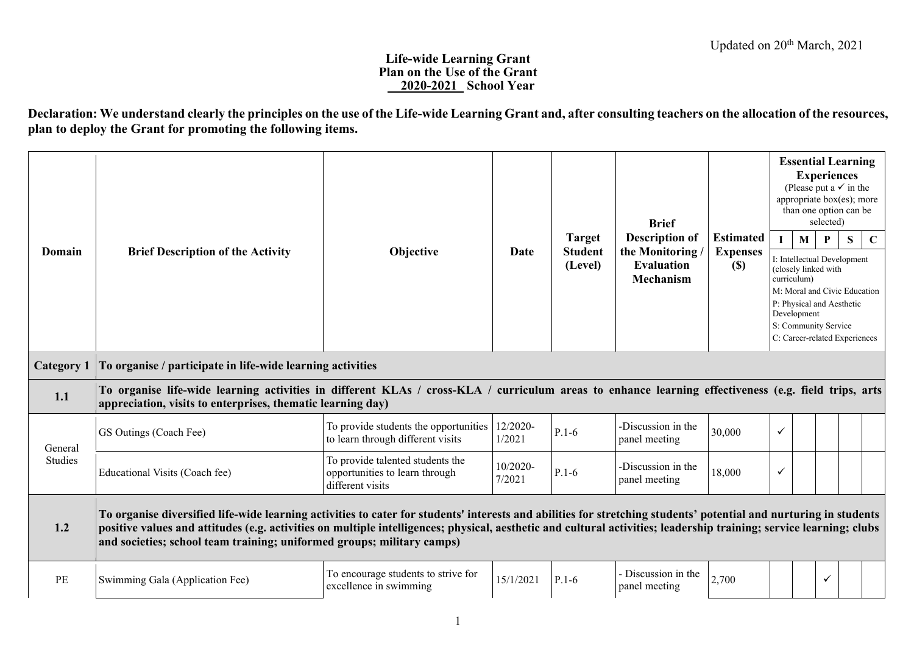## **Life-wide Learning Grant Plan on the Use of the Grant \_\_2020-2021\_ School Year**

**Declaration: We understand clearly the principles on the use of the Life-wide Learning Grant and, after consulting teachers on the allocation of the resources, plan to deploy the Grant for promoting the following items.**

| Domain            | <b>Brief Description of the Activity</b>                                                                                                                                                                                                                                                                                                                                                                           | Objective                                                                              | Date               | <b>Target</b><br><b>Student</b><br>(Level) | <b>Brief</b><br><b>Description of</b><br>the Monitoring<br><b>Evaluation</b><br><b>Mechanism</b> | <b>Estimated</b><br><b>Expenses</b><br>(S) |              | <b>Essential Learning</b><br>(Please put a $\checkmark$ in the<br>appropriate box(es); more<br>than one option can be<br>$\mathbf{M}$<br>I: Intellectual Development<br>(closely linked with<br>curriculum)<br>M: Moral and Civic Education<br>P: Physical and Aesthetic<br>Development<br>S: Community Service<br>C: Career-related Experiences | <b>Experiences</b><br>selected)<br>P | S | $\mathbf C$ |
|-------------------|--------------------------------------------------------------------------------------------------------------------------------------------------------------------------------------------------------------------------------------------------------------------------------------------------------------------------------------------------------------------------------------------------------------------|----------------------------------------------------------------------------------------|--------------------|--------------------------------------------|--------------------------------------------------------------------------------------------------|--------------------------------------------|--------------|--------------------------------------------------------------------------------------------------------------------------------------------------------------------------------------------------------------------------------------------------------------------------------------------------------------------------------------------------|--------------------------------------|---|-------------|
| <b>Category 1</b> | To organise / participate in life-wide learning activities                                                                                                                                                                                                                                                                                                                                                         |                                                                                        |                    |                                            |                                                                                                  |                                            |              |                                                                                                                                                                                                                                                                                                                                                  |                                      |   |             |
| 1.1               | To organise life-wide learning activities in different KLAs / cross-KLA / curriculum areas to enhance learning effectiveness (e.g. field trips, arts<br>appreciation, visits to enterprises, thematic learning day)                                                                                                                                                                                                |                                                                                        |                    |                                            |                                                                                                  |                                            |              |                                                                                                                                                                                                                                                                                                                                                  |                                      |   |             |
| General           | GS Outings (Coach Fee)                                                                                                                                                                                                                                                                                                                                                                                             | To provide students the opportunities<br>to learn through different visits             | 12/2020-<br>1/2021 | $P.1-6$                                    | -Discussion in the<br>panel meeting                                                              | 30,000                                     | $\checkmark$ |                                                                                                                                                                                                                                                                                                                                                  |                                      |   |             |
| Studies           | Educational Visits (Coach fee)                                                                                                                                                                                                                                                                                                                                                                                     | To provide talented students the<br>opportunities to learn through<br>different visits | 10/2020-<br>7/2021 | $P.1-6$                                    | -Discussion in the<br>panel meeting                                                              | 18,000                                     | $\checkmark$ |                                                                                                                                                                                                                                                                                                                                                  |                                      |   |             |
| 1.2               | To organise diversified life-wide learning activities to cater for students' interests and abilities for stretching students' potential and nurturing in students<br>positive values and attitudes (e.g. activities on multiple intelligences; physical, aesthetic and cultural activities; leadership training; service learning; clubs<br>and societies; school team training; uniformed groups; military camps) |                                                                                        |                    |                                            |                                                                                                  |                                            |              |                                                                                                                                                                                                                                                                                                                                                  |                                      |   |             |
| PE                | Swimming Gala (Application Fee)                                                                                                                                                                                                                                                                                                                                                                                    | To encourage students to strive for<br>excellence in swimming                          | 15/1/2021          | $P.1-6$                                    | Discussion in the<br>panel meeting                                                               | 2,700                                      |              |                                                                                                                                                                                                                                                                                                                                                  | $\checkmark$                         |   |             |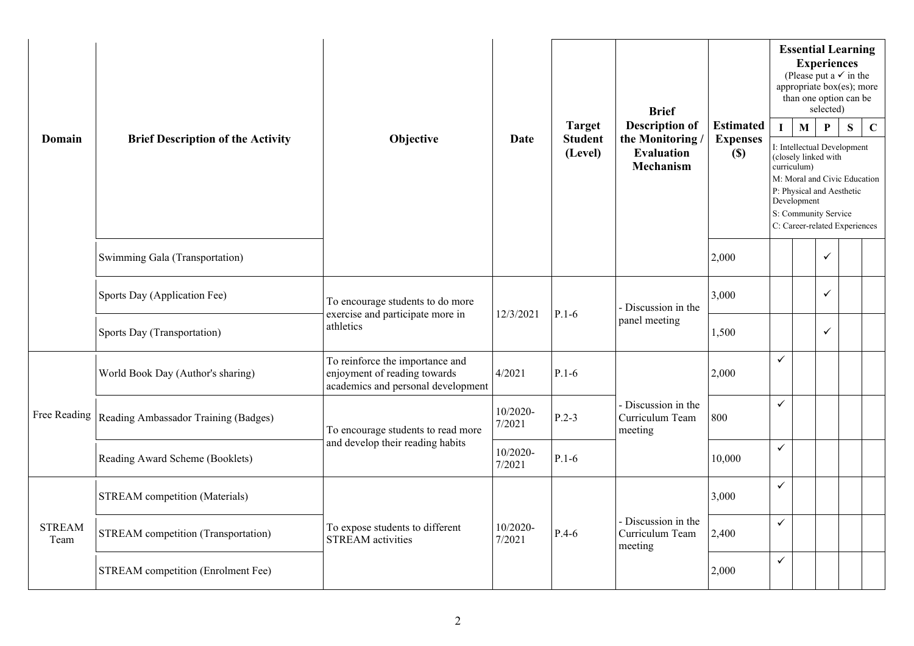|                       |                                            |                                                                                                       | <b>Brief</b>          |                                                                                                  |                                                   | <b>Essential Learning</b><br><b>Experiences</b><br>(Please put a $\checkmark$ in the<br>appropriate box(es); more<br>than one option can be<br>selected) |                                                                                                                                                                                                         |              |              |   |             |  |
|-----------------------|--------------------------------------------|-------------------------------------------------------------------------------------------------------|-----------------------|--------------------------------------------------------------------------------------------------|---------------------------------------------------|----------------------------------------------------------------------------------------------------------------------------------------------------------|---------------------------------------------------------------------------------------------------------------------------------------------------------------------------------------------------------|--------------|--------------|---|-------------|--|
| Domain                | <b>Brief Description of the Activity</b>   | Objective                                                                                             | Date                  | <b>Description of</b><br><b>Estimated</b><br><b>Target</b><br>the Monitoring /<br><b>Student</b> |                                                   |                                                                                                                                                          | L                                                                                                                                                                                                       | $\mathbf{M}$ | $\mathbf{P}$ | S | $\mathbf C$ |  |
|                       |                                            |                                                                                                       |                       | (Level)                                                                                          | <b>Evaluation</b><br>Mechanism                    | $(\$)$                                                                                                                                                   | I: Intellectual Development<br>(closely linked with<br>curriculum)<br>M: Moral and Civic Education<br>P: Physical and Aesthetic<br>Development<br>S: Community Service<br>C: Career-related Experiences |              |              |   |             |  |
|                       | Swimming Gala (Transportation)             |                                                                                                       |                       |                                                                                                  |                                                   | 2,000                                                                                                                                                    |                                                                                                                                                                                                         |              | ✓            |   |             |  |
|                       | Sports Day (Application Fee)               | To encourage students to do more<br>exercise and participate more in                                  | 12/3/2021<br>$P.1-6$  |                                                                                                  | - Discussion in the                               | 3,000                                                                                                                                                    |                                                                                                                                                                                                         |              | ✓            |   |             |  |
|                       | Sports Day (Transportation)                | athletics                                                                                             |                       |                                                                                                  | panel meeting                                     | 1,500                                                                                                                                                    |                                                                                                                                                                                                         |              | $\checkmark$ |   |             |  |
|                       | World Book Day (Author's sharing)          | To reinforce the importance and<br>enjoyment of reading towards<br>academics and personal development | 4/2021                | $P.1-6$                                                                                          |                                                   | 2,000                                                                                                                                                    | ✓                                                                                                                                                                                                       |              |              |   |             |  |
| Free Reading          | Reading Ambassador Training (Badges)       | To encourage students to read more                                                                    | 10/2020-<br>7/2021    | $P.2-3$                                                                                          | - Discussion in the<br>Curriculum Team<br>meeting | 800                                                                                                                                                      | $\checkmark$                                                                                                                                                                                            |              |              |   |             |  |
|                       | Reading Award Scheme (Booklets)            | and develop their reading habits                                                                      | 10/2020-<br>7/2021    | $P.1-6$                                                                                          |                                                   | 10,000                                                                                                                                                   | $\checkmark$                                                                                                                                                                                            |              |              |   |             |  |
|                       | <b>STREAM</b> competition (Materials)      |                                                                                                       |                       |                                                                                                  |                                                   | 3,000                                                                                                                                                    | $\checkmark$                                                                                                                                                                                            |              |              |   |             |  |
| <b>STREAM</b><br>Team | <b>STREAM</b> competition (Transportation) | To expose students to different<br><b>STREAM</b> activities                                           | $10/2020$ -<br>7/2021 | $P.4-6$                                                                                          | - Discussion in the<br>Curriculum Team<br>meeting | 2,400                                                                                                                                                    | $\checkmark$                                                                                                                                                                                            |              |              |   |             |  |
|                       | STREAM competition (Enrolment Fee)         |                                                                                                       |                       |                                                                                                  |                                                   | 2,000                                                                                                                                                    | ✓                                                                                                                                                                                                       |              |              |   |             |  |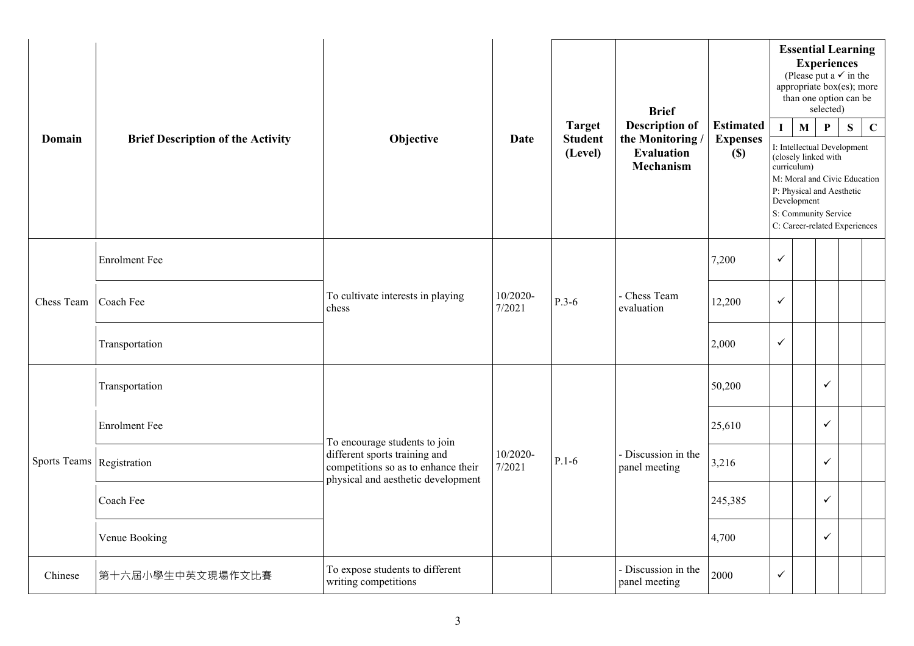| Domain              | <b>Brief Description of the Activity</b> | Objective                                                                                                  | Date               | <b>Target</b><br><b>Student</b><br>(Level) | <b>Brief</b><br><b>Description of</b><br>the Monitoring/<br><b>Evaluation</b><br>Mechanism | <b>Estimated</b><br><b>Expenses</b><br>$(\$)$ | L            | $\mathbf{M}$<br>curriculum)<br>Development | <b>Essential Learning</b><br><b>Experiences</b><br>(Please put a $\checkmark$ in the<br>appropriate box(es); more<br>than one option can be<br>selected)<br>$\mathbf{P}$<br>I: Intellectual Development<br>(closely linked with<br>M: Moral and Civic Education<br>P: Physical and Aesthetic<br>S: Community Service<br>C: Career-related Experiences | S | $\mathbf C$ |
|---------------------|------------------------------------------|------------------------------------------------------------------------------------------------------------|--------------------|--------------------------------------------|--------------------------------------------------------------------------------------------|-----------------------------------------------|--------------|--------------------------------------------|-------------------------------------------------------------------------------------------------------------------------------------------------------------------------------------------------------------------------------------------------------------------------------------------------------------------------------------------------------|---|-------------|
|                     | <b>Enrolment</b> Fee                     |                                                                                                            |                    | $P.3-6$                                    |                                                                                            | 7,200                                         | $\checkmark$ |                                            |                                                                                                                                                                                                                                                                                                                                                       |   |             |
| Chess Team          | Coach Fee                                | To cultivate interests in playing<br>chess                                                                 | 10/2020-<br>7/2021 |                                            | Chess Team<br>evaluation                                                                   | 12,200                                        | $\checkmark$ |                                            |                                                                                                                                                                                                                                                                                                                                                       |   |             |
|                     | Transportation                           |                                                                                                            |                    |                                            |                                                                                            | 2,000                                         | $\checkmark$ |                                            |                                                                                                                                                                                                                                                                                                                                                       |   |             |
|                     | Transportation                           |                                                                                                            |                    |                                            | Discussion in the<br>panel meeting                                                         | 50,200                                        |              |                                            | ✓                                                                                                                                                                                                                                                                                                                                                     |   |             |
|                     | <b>Enrolment</b> Fee                     | To encourage students to join                                                                              |                    |                                            |                                                                                            | 25,610                                        |              |                                            | ✓                                                                                                                                                                                                                                                                                                                                                     |   |             |
| <b>Sports Teams</b> | Registration                             | different sports training and<br>competitions so as to enhance their<br>physical and aesthetic development | 10/2020-<br>7/2021 | $P.1-6$                                    |                                                                                            | 3,216                                         |              |                                            | $\checkmark$                                                                                                                                                                                                                                                                                                                                          |   |             |
|                     | Coach Fee                                |                                                                                                            |                    |                                            |                                                                                            | 245,385                                       |              |                                            | ✓                                                                                                                                                                                                                                                                                                                                                     |   |             |
|                     | Venue Booking                            |                                                                                                            |                    |                                            |                                                                                            | 4,700                                         |              |                                            | ✓                                                                                                                                                                                                                                                                                                                                                     |   |             |
| Chinese             | 第十六屆小學生中英文現場作文比賽                         | To expose students to different<br>writing competitions                                                    |                    |                                            | - Discussion in the<br>panel meeting                                                       | 2000                                          | $\checkmark$ |                                            |                                                                                                                                                                                                                                                                                                                                                       |   |             |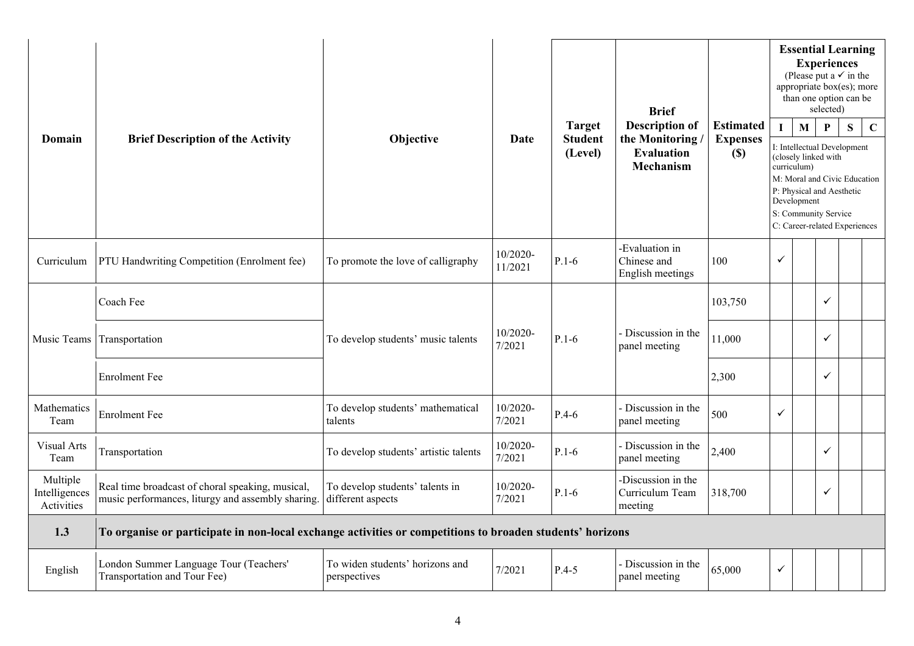| Domain                                  | <b>Brief Description of the Activity</b>                                                                  | Objective                                            | Date                | <b>Target</b><br><b>Student</b><br>(Level) | <b>Brief</b><br><b>Description of</b><br>the Monitoring/<br><b>Evaluation</b><br>Mechanism | <b>Estimated</b><br><b>Expenses</b><br>$(S)$ |              | $\mathbf{M}$<br>curriculum)<br>Development | <b>Essential Learning</b><br><b>Experiences</b><br>(Please put a $\checkmark$ in the<br>appropriate box(es); more<br>than one option can be<br>selected)<br>$\mathbf{P}$<br>I: Intellectual Development<br>(closely linked with<br>M: Moral and Civic Education<br>P: Physical and Aesthetic<br>S: Community Service<br>C: Career-related Experiences | S | $\mathbf C$ |
|-----------------------------------------|-----------------------------------------------------------------------------------------------------------|------------------------------------------------------|---------------------|--------------------------------------------|--------------------------------------------------------------------------------------------|----------------------------------------------|--------------|--------------------------------------------|-------------------------------------------------------------------------------------------------------------------------------------------------------------------------------------------------------------------------------------------------------------------------------------------------------------------------------------------------------|---|-------------|
| Curriculum                              | PTU Handwriting Competition (Enrolment fee)                                                               | To promote the love of calligraphy                   | 10/2020-<br>11/2021 | $P.1-6$                                    | -Evaluation in<br>Chinese and<br>English meetings                                          | 100                                          | $\checkmark$ |                                            |                                                                                                                                                                                                                                                                                                                                                       |   |             |
|                                         | Coach Fee                                                                                                 |                                                      |                     |                                            |                                                                                            | 103,750                                      |              |                                            | ✓                                                                                                                                                                                                                                                                                                                                                     |   |             |
|                                         | Music Teams Transportation                                                                                | To develop students' music talents                   | 10/2020-<br>7/2021  | $P.1-6$                                    | - Discussion in the<br>panel meeting                                                       | 11,000                                       |              |                                            | ✓                                                                                                                                                                                                                                                                                                                                                     |   |             |
|                                         | <b>Enrolment Fee</b>                                                                                      |                                                      |                     |                                            |                                                                                            | 2,300                                        |              |                                            | ✓                                                                                                                                                                                                                                                                                                                                                     |   |             |
| Mathematics<br>Team                     | <b>Enrolment</b> Fee                                                                                      | To develop students' mathematical<br>talents         | 10/2020-<br>7/2021  | $P.4-6$                                    | - Discussion in the<br>panel meeting                                                       | 500                                          | ✓            |                                            |                                                                                                                                                                                                                                                                                                                                                       |   |             |
| Visual Arts<br>Team                     | Transportation                                                                                            | To develop students' artistic talents                | 10/2020-<br>7/2021  | $P.1-6$                                    | - Discussion in the<br>panel meeting                                                       | 2,400                                        |              |                                            | ✓                                                                                                                                                                                                                                                                                                                                                     |   |             |
| Multiple<br>Intelligences<br>Activities | Real time broadcast of choral speaking, musical,<br>music performances, liturgy and assembly sharing.     | To develop students' talents in<br>different aspects | 10/2020-<br>7/2021  | $P.1-6$                                    | -Discussion in the<br>Curriculum Team<br>meeting                                           | 318,700                                      |              |                                            | ✓                                                                                                                                                                                                                                                                                                                                                     |   |             |
| 1.3                                     | To organise or participate in non-local exchange activities or competitions to broaden students' horizons |                                                      |                     |                                            |                                                                                            |                                              |              |                                            |                                                                                                                                                                                                                                                                                                                                                       |   |             |
| English                                 | London Summer Language Tour (Teachers'<br>Transportation and Tour Fee)                                    | To widen students' horizons and<br>perspectives      | 7/2021              | $P.4-5$                                    | - Discussion in the<br>panel meeting                                                       | 65,000                                       | ✓            |                                            |                                                                                                                                                                                                                                                                                                                                                       |   |             |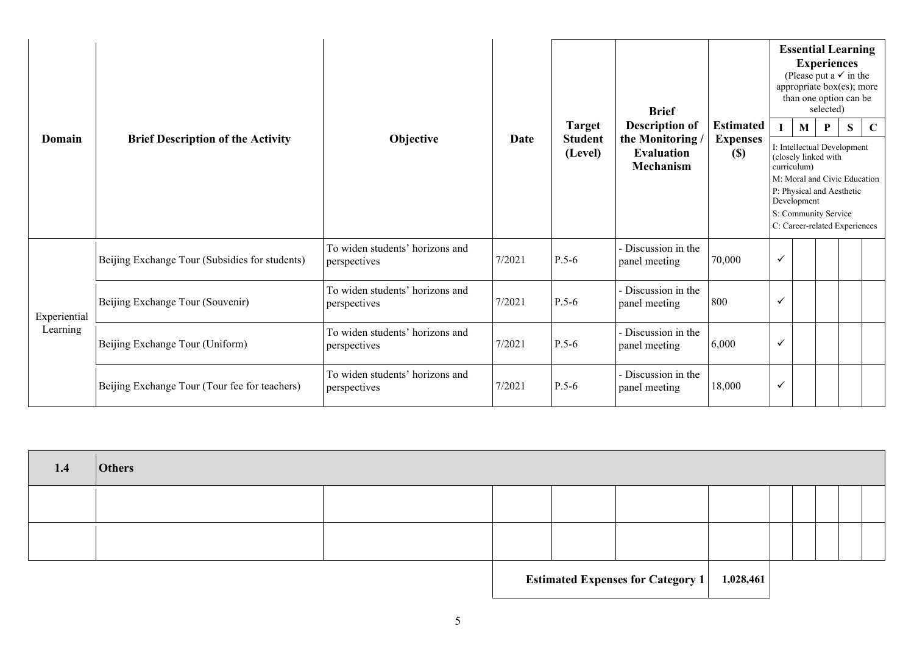|                          |                                                |                                                 |                                                                                      |         | <b>Brief</b>                         |        | <b>Essential Learning</b><br><b>Experiences</b><br>(Please put a $\checkmark$ in the<br>appropriate box(es); more<br>than one option can be<br>selected)                 |   |   |             |  |  |  |
|--------------------------|------------------------------------------------|-------------------------------------------------|--------------------------------------------------------------------------------------|---------|--------------------------------------|--------|--------------------------------------------------------------------------------------------------------------------------------------------------------------------------|---|---|-------------|--|--|--|
| Domain                   | <b>Brief Description of the Activity</b>       | Objective                                       | <b>Description of</b><br><b>Target</b><br>Date<br><b>Student</b><br>the Monitoring / |         | <b>Estimated</b><br><b>Expenses</b>  |        | M<br>I: Intellectual Development                                                                                                                                         | P | S | $\mathbf C$ |  |  |  |
|                          |                                                |                                                 |                                                                                      | (Level) | <b>Evaluation</b><br>Mechanism       | (S)    | (closely linked with<br>curriculum)<br>M: Moral and Civic Education<br>P: Physical and Aesthetic<br>Development<br>S: Community Service<br>C: Career-related Experiences |   |   |             |  |  |  |
|                          | Beijing Exchange Tour (Subsidies for students) | To widen students' horizons and<br>perspectives | 7/2021                                                                               | $P.5-6$ | - Discussion in the<br>panel meeting | 70,000 | $\checkmark$                                                                                                                                                             |   |   |             |  |  |  |
| Experiential<br>Learning | Beijing Exchange Tour (Souvenir)               | To widen students' horizons and<br>perspectives | 7/2021                                                                               | $P.5-6$ | Discussion in the<br>panel meeting   | 800    | $\checkmark$                                                                                                                                                             |   |   |             |  |  |  |
|                          | Beijing Exchange Tour (Uniform)                | To widen students' horizons and<br>perspectives | 7/2021                                                                               | $P.5-6$ | Discussion in the<br>panel meeting   | 6,000  | ✓                                                                                                                                                                        |   |   |             |  |  |  |
|                          | Beijing Exchange Tour (Tour fee for teachers)  | To widen students' horizons and<br>perspectives | 7/2021                                                                               | $P.5-6$ | Discussion in the<br>panel meeting   | 18,000 | $\checkmark$                                                                                                                                                             |   |   |             |  |  |  |

| 1.4 | <b>Others</b> |  |                                               |  |  |  |
|-----|---------------|--|-----------------------------------------------|--|--|--|
|     |               |  |                                               |  |  |  |
|     |               |  |                                               |  |  |  |
|     |               |  | Estimated Expenses for Category 1   1,028,461 |  |  |  |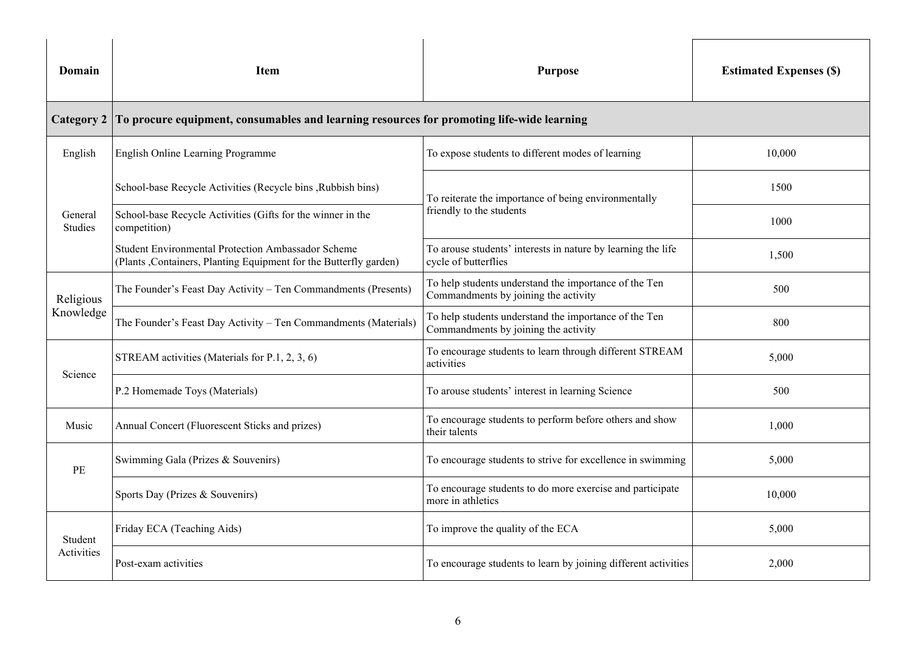| Domain                    | <b>Item</b>                                                                                                                                                     | <b>Purpose</b>                                                                                |        |
|---------------------------|-----------------------------------------------------------------------------------------------------------------------------------------------------------------|-----------------------------------------------------------------------------------------------|--------|
| <b>Category 2</b>         | To procure equipment, consumables and learning resources for promoting life-wide learning                                                                       |                                                                                               |        |
| English                   | English Online Learning Programme                                                                                                                               | To expose students to different modes of learning                                             | 10,000 |
|                           | School-base Recycle Activities (Recycle bins, Rubbish bins)                                                                                                     | To reiterate the importance of being environmentally                                          | 1500   |
| General<br><b>Studies</b> | School-base Recycle Activities (Gifts for the winner in the<br>competition)                                                                                     | friendly to the students                                                                      | 1000   |
|                           | Student Environmental Protection Ambassador Scheme<br>(Plants, Containers, Planting Equipment for the Butterfly garden)                                         | To arouse students' interests in nature by learning the life<br>cycle of butterflies          | 1,500  |
| Religious                 | To help students understand the importance of the Ten<br>The Founder's Feast Day Activity - Ten Commandments (Presents)<br>Commandments by joining the activity |                                                                                               | 500    |
| Knowledge                 | The Founder's Feast Day Activity - Ten Commandments (Materials)                                                                                                 | To help students understand the importance of the Ten<br>Commandments by joining the activity | 800    |
|                           | STREAM activities (Materials for P.1, 2, 3, 6)                                                                                                                  | To encourage students to learn through different STREAM<br>activities                         | 5,000  |
| Science                   | P.2 Homemade Toys (Materials)                                                                                                                                   | To arouse students' interest in learning Science                                              | 500    |
| Music                     | Annual Concert (Fluorescent Sticks and prizes)                                                                                                                  | To encourage students to perform before others and show<br>their talents                      | 1,000  |
| PE                        | Swimming Gala (Prizes & Souvenirs)                                                                                                                              | To encourage students to strive for excellence in swimming                                    | 5,000  |
|                           | Sports Day (Prizes & Souvenirs)                                                                                                                                 | To encourage students to do more exercise and participate<br>more in athletics                | 10,000 |
| Student                   | Friday ECA (Teaching Aids)                                                                                                                                      | To improve the quality of the ECA                                                             |        |
| Activities                | Post-exam activities                                                                                                                                            | To encourage students to learn by joining different activities                                | 2,000  |